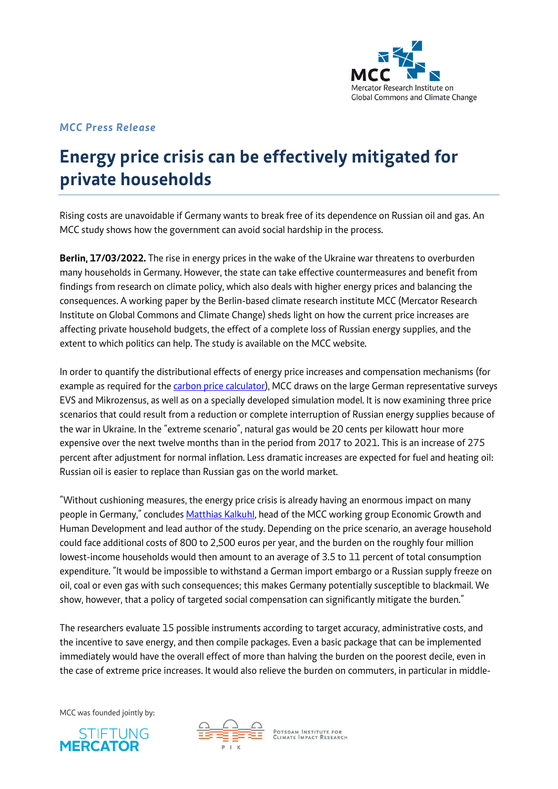

## *MCC Press Release*

# **Energy price crisis can be effectively mitigated for private households**

Rising costs are unavoidable if Germany wants to break free of its dependence on Russian oil and gas. An MCC study shows how the government can avoid social hardship in the process.

**Berlin, 17/03/2022.** The rise in energy prices in the wake of the Ukraine war threatens to overburden many households in Germany. However, the state can take effective countermeasures and benefit from findings from research on climate policy, which also deals with higher energy prices and balancing the consequences. A working paper by the Berlin-based climate research institute MCC (Mercator Research Institute on Global Commons and Climate Change) sheds light on how the current price increases are affecting private household budgets, the effect of a complete loss of Russian energy supplies, and the extent to which politics can help. The study is available on the MCC website.

In order to quantify the distributional effects of energy price increases and compensation mechanisms (for example as required for the *carbon price calculator*), MCC draws on the large German representative surveys EVS and Mikrozensus, as well as on a specially developed simulation model. It is now examining three price scenarios that could result from a reduction or complete interruption of Russian energy supplies because of the war in Ukraine. In the "extreme scenario", natural gas would be 20 cents per kilowatt hour more expensive over the next twelve months than in the period from 2017 to 2021. This is an increase of 275 percent after adjustment for normal inflation. Less dramatic increases are expected for fuel and heating oil: Russian oil is easier to replace than Russian gas on the world market.

"Without cushioning measures, the energy price crisis is already having an enormous impact on many people in Germany," conclude[s Matthias Kalkuhl,](https://www.mcc-berlin.net/en/about/team/kalkuhl-matthias.html) head of the MCC working group Economic Growth and Human Development and lead author of the study. Depending on the price scenario, an average household could face additional costs of 800 to 2,500 euros per year, and the burden on the roughly four million lowest-income households would then amount to an average of 3.5 to 11 percent of total consumption expenditure. "It would be impossible to withstand a German import embargo or a Russian supply freeze on oil, coal or even gas with such consequences; this makes Germany potentially susceptible to blackmail. We show, however, that a policy of targeted social compensation can significantly mitigate the burden."

The researchers evaluate 15 possible instruments according to target accuracy, administrative costs, and the incentive to save energy, and then compile packages. Even a basic package that can be implemented immediately would have the overall effect of more than halving the burden on the poorest decile, even in the case of extreme price increases. It would also relieve the burden on commuters, in particular in middle-

MCC was founded jointly by:





POTSDAM INSTITUTE FOR